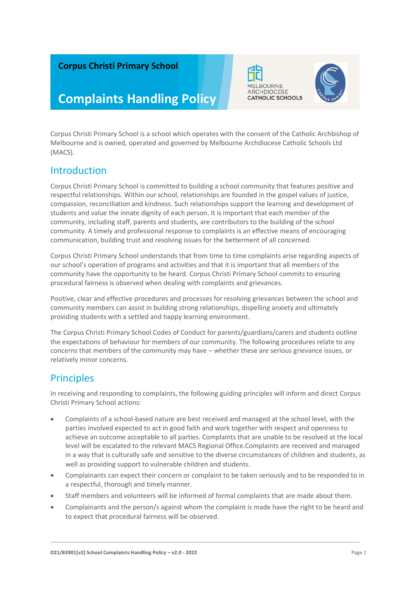### **Corpus Christi Primary School**

# **IELBOURNE** ARCHDIOCESE **CATHOLIC SCHOOLS**



# **Complaints Handling Policy**

Corpus Christi Primary School is a school which operates with the consent of the Catholic Archbishop of Melbourne and is owned, operated and governed by Melbourne Archdiocese Catholic Schools Ltd (MACS).

### Introduction

Corpus Christi Primary School is committed to building a school community that features positive and respectful relationships. Within our school, relationships are founded in the gospel values of justice, compassion, reconciliation and kindness. Such relationships support the learning and development of students and value the innate dignity of each person. It is important that each member of the community, including staff, parents and students, are contributors to the building of the school community. A timely and professional response to complaints is an effective means of encouraging communication, building trust and resolving issues for the betterment of all concerned.

Corpus Christi Primary School understands that from time to time complaints arise regarding aspects of our school's operation of programs and activities and that it is important that all members of the community have the opportunity to be heard. Corpus Christi Primary School commits to ensuring procedural fairness is observed when dealing with complaints and grievances.

Positive, clear and effective procedures and processes for resolving grievances between the school and community members can assist in building strong relationships, dispelling anxiety and ultimately providing students with a settled and happy learning environment.

The Corpus Christi Primary School Codes of Conduct for parents/guardians/carers and students outline the expectations of behaviour for members of our community. The following procedures relate to any concerns that members of the community may have – whether these are serious grievance issues, or relatively minor concerns.

### **Principles**

In receiving and responding to complaints, the following guiding principles will inform and direct Corpus Christi Primary School actions:

- Complaints of a school-based nature are best received and managed at the school level, with the parties involved expected to act in good faith and work together with respect and openness to achieve an outcome acceptable to all parties. Complaints that are unable to be resolved at the local level will be escalated to the relevant MACS Regional Office.Complaints are received and managed in a way that is culturally safe and sensitive to the diverse circumstances of children and students, as well as providing support to vulnerable children and students.
- Complainants can expect their concern or complaint to be taken seriously and to be responded to in a respectful, thorough and timely manner.
- Staff members and volunteers will be informed of formal complaints that are made about them.
- Complainants and the person/s against whom the complaint is made have the right to be heard and to expect that procedural fairness will be observed.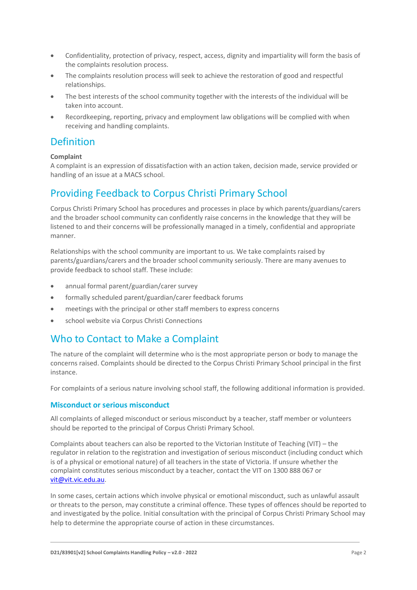- Confidentiality, protection of privacy, respect, access, dignity and impartiality will form the basis of the complaints resolution process.
- The complaints resolution process will seek to achieve the restoration of good and respectful relationships.
- The best interests of the school community together with the interests of the individual will be taken into account.
- Recordkeeping, reporting, privacy and employment law obligations will be complied with when receiving and handling complaints.

### Definition

#### **Complaint**

A complaint is an expression of dissatisfaction with an action taken, decision made, service provided or handling of an issue at a MACS school.

### Providing Feedback to Corpus Christi Primary School

Corpus Christi Primary School has procedures and processes in place by which parents/guardians/carers and the broader school community can confidently raise concerns in the knowledge that they will be listened to and their concerns will be professionally managed in a timely, confidential and appropriate manner.

Relationships with the school community are important to us. We take complaints raised by parents/guardians/carers and the broader school community seriously. There are many avenues to provide feedback to school staff. These include:

- annual formal parent/guardian/carer survey
- formally scheduled parent/guardian/carer feedback forums
- meetings with the principal or other staff members to express concerns
- school website via Corpus Christi Connections

### Who to Contact to Make a Complaint

The nature of the complaint will determine who is the most appropriate person or body to manage the concerns raised. Complaints should be directed to the Corpus Christi Primary School principal in the first instance.

For complaints of a serious nature involving school staff, the following additional information is provided.

#### **Misconduct or serious misconduct**

All complaints of alleged misconduct or serious misconduct by a teacher, staff member or volunteers should be reported to the principal of Corpus Christi Primary School.

Complaints about teachers can also be reported to the Victorian Institute of Teaching (VIT) – the regulator in relation to the registration and investigation of serious misconduct (including conduct which is of a physical or emotional nature) of all teachers in the state of Victoria. If unsure whether the complaint constitutes serious misconduct by a teacher, contact the VIT on 1300 888 067 or [vit@vit.vic.edu.au.](mailto:vit@vit.vic.edu.au)

In some cases, certain actions which involve physical or emotional misconduct, such as unlawful assault or threats to the person, may constitute a criminal offence. These types of offences should be reported to and investigated by the police. Initial consultation with the principal of Corpus Christi Primary School may help to determine the appropriate course of action in these circumstances.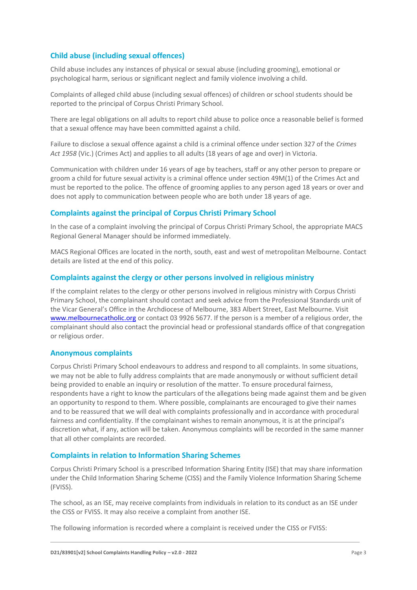### **Child abuse (including sexual offences)**

Child abuse includes any instances of physical or sexual abuse (including grooming), emotional or psychological harm, serious or significant neglect and family violence involving a child.

Complaints of alleged child abuse (including sexual offences) of children or school students should be reported to the principal of Corpus Christi Primary School.

There are legal obligations on all adults to report child abuse to police once a reasonable belief is formed that a sexual offence may have been committed against a child.

Failure to disclose a sexual offence against a child is a criminal offence under section 327 of the *Crimes Act 1958* (Vic.) (Crimes Act) and applies to all adults (18 years of age and over) in Victoria.

Communication with children under 16 years of age by teachers, staff or any other person to prepare or groom a child for future sexual activity is a criminal offence under section 49M(1) of the Crimes Act and must be reported to the police. The offence of grooming applies to any person aged 18 years or over and does not apply to communication between people who are both under 18 years of age.

#### **Complaints against the principal of Corpus Christi Primary School**

In the case of a complaint involving the principal of Corpus Christi Primary School, the appropriate MACS Regional General Manager should be informed immediately.

MACS Regional Offices are located in the north, south, east and west of metropolitan Melbourne. Contact details are listed at the end of this policy.

#### **Complaints against the clergy or other persons involved in religious ministry**

If the complaint relates to the clergy or other persons involved in religious ministry with Corpus Christi Primary School, the complainant should contact and seek advice from the Professional Standards unit of the Vicar General's Office in the Archdiocese of Melbourne, 383 Albert Street, East Melbourne. Visit [www.melbournecatholic.org](http://www.melbournecatholic.org/) or contact 03 9926 5677. If the person is a member of a religious order, the complainant should also contact the provincial head or professional standards office of that congregation or religious order.

#### **Anonymous complaints**

Corpus Christi Primary School endeavours to address and respond to all complaints. In some situations, we may not be able to fully address complaints that are made anonymously or without sufficient detail being provided to enable an inquiry or resolution of the matter. To ensure procedural fairness, respondents have a right to know the particulars of the allegations being made against them and be given an opportunity to respond to them. Where possible, complainants are encouraged to give their names and to be reassured that we will deal with complaints professionally and in accordance with procedural fairness and confidentiality. If the complainant wishes to remain anonymous, it is at the principal's discretion what, if any, action will be taken. Anonymous complaints will be recorded in the same manner that all other complaints are recorded.

#### **Complaints in relation to Information Sharing Schemes**

Corpus Christi Primary School is a prescribed Information Sharing Entity (ISE) that may share information under the Child Information Sharing Scheme (CISS) and the Family Violence Information Sharing Scheme (FVISS).

The school, as an ISE, may receive complaints from individuals in relation to its conduct as an ISE under the CISS or FVISS. It may also receive a complaint from another ISE.

The following information is recorded where a complaint is received under the CISS or FVISS: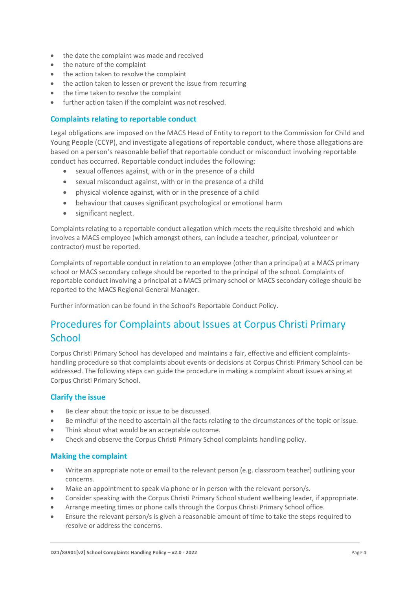- the date the complaint was made and received
- the nature of the complaint
- the action taken to resolve the complaint
- the action taken to lessen or prevent the issue from recurring
- the time taken to resolve the complaint
- further action taken if the complaint was not resolved.

#### **Complaints relating to reportable conduct**

Legal obligations are imposed on the MACS Head of Entity to report to the Commission for Child and Young People (CCYP), and investigate allegations of reportable conduct, where those allegations are based on a person's reasonable belief that reportable conduct or misconduct involving reportable conduct has occurred. Reportable conduct includes the following:

- sexual offences against, with or in the presence of a child
- sexual misconduct against, with or in the presence of a child
- physical violence against, with or in the presence of a child
- behaviour that causes significant psychological or emotional harm
- significant neglect.

Complaints relating to a reportable conduct allegation which meets the requisite threshold and which involves a MACS employee (which amongst others, can include a teacher, principal, volunteer or contractor) must be reported.

Complaints of reportable conduct in relation to an employee (other than a principal) at a MACS primary school or MACS secondary college should be reported to the principal of the school. Complaints of reportable conduct involving a principal at a MACS primary school or MACS secondary college should be reported to the MACS Regional General Manager.

Further information can be found in the School's Reportable Conduct Policy.

### Procedures for Complaints about Issues at Corpus Christi Primary **School**

Corpus Christi Primary School has developed and maintains a fair, effective and efficient complaintshandling procedure so that complaints about events or decisions at Corpus Christi Primary School can be addressed. The following steps can guide the procedure in making a complaint about issues arising at Corpus Christi Primary School.

#### **Clarify the issue**

- Be clear about the topic or issue to be discussed.
- Be mindful of the need to ascertain all the facts relating to the circumstances of the topic or issue.
- Think about what would be an acceptable outcome.
- Check and observe the Corpus Christi Primary School complaints handling policy.

#### **Making the complaint**

- Write an appropriate note or email to the relevant person (e.g. classroom teacher) outlining your concerns.
- Make an appointment to speak via phone or in person with the relevant person/s.
- Consider speaking with the Corpus Christi Primary School student wellbeing leader, if appropriate.
- Arrange meeting times or phone calls through the Corpus Christi Primary School office.
- Ensure the relevant person/s is given a reasonable amount of time to take the steps required to resolve or address the concerns.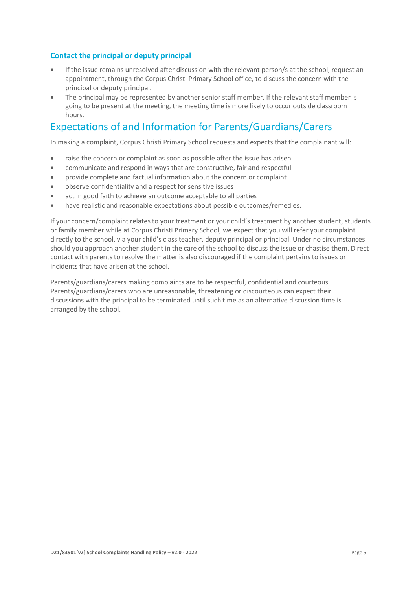### **Contact the principal or deputy principal**

- If the issue remains unresolved after discussion with the relevant person/s at the school, request an appointment, through the Corpus Christi Primary School office, to discuss the concern with the principal or deputy principal.
- The principal may be represented by another senior staff member. If the relevant staff member is going to be present at the meeting, the meeting time is more likely to occur outside classroom hours.

### Expectations of and Information for Parents/Guardians/Carers

In making a complaint, Corpus Christi Primary School requests and expects that the complainant will:

- raise the concern or complaint as soon as possible after the issue has arisen
- communicate and respond in ways that are constructive, fair and respectful
- provide complete and factual information about the concern or complaint
- observe confidentiality and a respect for sensitive issues
- act in good faith to achieve an outcome acceptable to all parties
- have realistic and reasonable expectations about possible outcomes/remedies.

If your concern/complaint relates to your treatment or your child's treatment by another student, students or family member while at Corpus Christi Primary School, we expect that you will refer your complaint directly to the school, via your child's class teacher, deputy principal or principal. Under no circumstances should you approach another student in the care of the school to discuss the issue or chastise them. Direct contact with parents to resolve the matter is also discouraged if the complaint pertains to issues or incidents that have arisen at the school.

Parents/guardians/carers making complaints are to be respectful, confidential and courteous. Parents/guardians/carers who are unreasonable, threatening or discourteous can expect their discussions with the principal to be terminated until such time as an alternative discussion time is arranged by the school.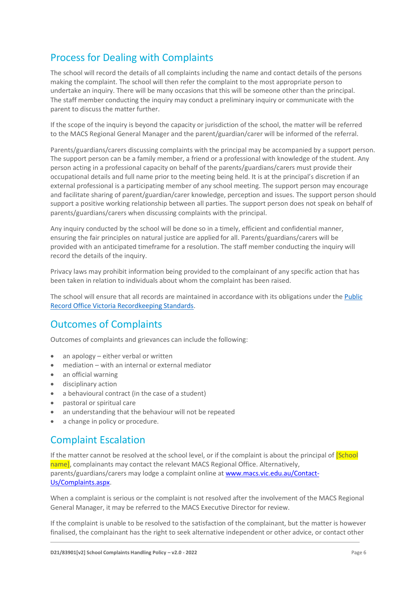# Process for Dealing with Complaints

The school will record the details of all complaints including the name and contact details of the persons making the complaint. The school will then refer the complaint to the most appropriate person to undertake an inquiry. There will be many occasions that this will be someone other than the principal. The staff member conducting the inquiry may conduct a preliminary inquiry or communicate with the parent to discuss the matter further.

If the scope of the inquiry is beyond the capacity or jurisdiction of the school, the matter will be referred to the MACS Regional General Manager and the parent/guardian/carer will be informed of the referral.

Parents/guardians/carers discussing complaints with the principal may be accompanied by a support person. The support person can be a family member, a friend or a professional with knowledge of the student. Any person acting in a professional capacity on behalf of the parents/guardians/carers must provide their occupational details and full name prior to the meeting being held. It is at the principal's discretion if an external professional is a participating member of any school meeting. The support person may encourage and facilitate sharing of parent/guardian/carer knowledge, perception and issues. The support person should support a positive working relationship between all parties. The support person does not speak on behalf of parents/guardians/carers when discussing complaints with the principal.

Any inquiry conducted by the school will be done so in a timely, efficient and confidential manner, ensuring the fair principles on natural justice are applied for all. Parents/guardians/carers will be provided with an anticipated timeframe for a resolution. The staff member conducting the inquiry will record the details of the inquiry.

Privacy laws may prohibit information being provided to the complainant of any specific action that has been taken in relation to individuals about whom the complaint has been raised.

The school will ensure that all records are maintained in accordance with its obligations under the [Public](https://prov.vic.gov.au/recordkeeping-government/standards-framework)  [Record Office Victoria Recordkeeping Standards.](https://prov.vic.gov.au/recordkeeping-government/standards-framework)

### Outcomes of Complaints

Outcomes of complaints and grievances can include the following:

- an apology either verbal or written
- mediation with an internal or external mediator
- an official warning
- disciplinary action
- a behavioural contract (in the case of a student)
- pastoral or spiritual care
- an understanding that the behaviour will not be repeated
- a change in policy or procedure.

### Complaint Escalation

If the matter cannot be resolved at the school level, or if the complaint is about the principal of **[School**] name], complainants may contact the relevant MACS Regional Office. Alternatively, parents/guardians/carers may lodge a complaint online at [www.macs.vic.edu.au/Contact-](http://www.macs.vic.edu.au/Contact-Us/Complaints.aspx)[Us/Complaints.aspx.](http://www.macs.vic.edu.au/Contact-Us/Complaints.aspx)

When a complaint is serious or the complaint is not resolved after the involvement of the MACS Regional General Manager, it may be referred to the MACS Executive Director for review.

If the complaint is unable to be resolved to the satisfaction of the complainant, but the matter is however finalised, the complainant has the right to seek alternative independent or other advice, or contact other